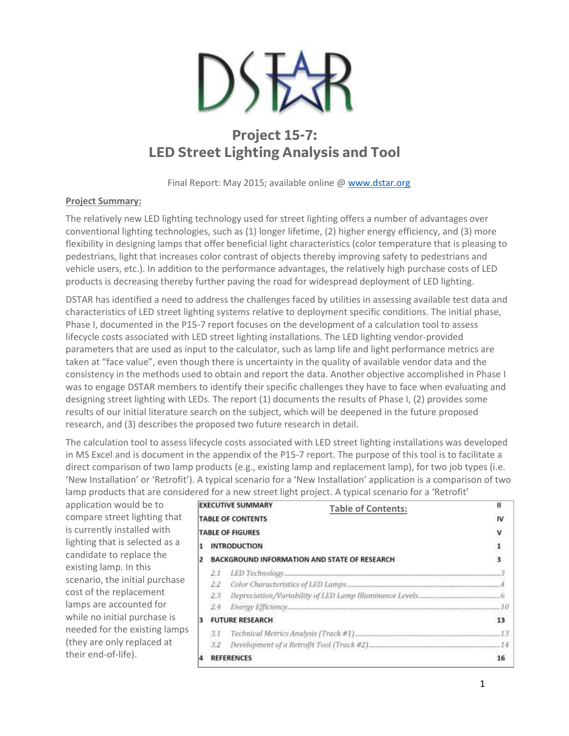

# **Project 15-7: LED Street Lighting Analysis and Tool**

Final Report: May 2015; available online [@ www.dstar.org](http://www.dstar.org/research/project/104/P15-7-led-street-lighting)

## **Project Summary:**

The relatively new LED lighting technology used for street lighting offers a number of advantages over conventional lighting technologies, such as (1) longer lifetime, (2) higher energy efficiency, and (3) more flexibility in designing lamps that offer beneficial light characteristics (color temperature that is pleasing to pedestrians, light that increases color contrast of objects thereby improving safety to pedestrians and vehicle users, etc.). In addition to the performance advantages, the relatively high purchase costs of LED products is decreasing thereby further paving the road for widespread deployment of LED lighting.

DSTAR has identified a need to address the challenges faced by utilities in assessing available test data and characteristics of LED street lighting systems relative to deployment specific conditions. The initial phase, Phase I, documented in the P15-7 report focuses on the development of a calculation tool to assess lifecycle costs associated with LED street lighting installations. The LED lighting vendor-provided parameters that are used as input to the calculator, such as lamp life and light performance metrics are taken at "face value", even though there is uncertainty in the quality of available vendor data and the consistency in the methods used to obtain and report the data. Another objective accomplished in Phase I was to engage DSTAR members to identify their specific challenges they have to face when evaluating and designing street lighting with LEDs. The report (1) documents the results of Phase I, (2) provides some results of our initial literature search on the subject, which will be deepened in the future proposed research, and (3) describes the proposed two future research in detail.

The calculation tool to assess lifecycle costs associated with LED street lighting installations was developed in MS Excel and is document in the appendix of the P15-7 report. The purpose of this tool is to facilitate a direct comparison of two lamp products (e.g., existing lamp and replacement lamp), for two job types (i.e. 'New Installation' or 'Retrofit'). A typical scenario for a 'New Installation' application is a comparison of two lamp products that are considered for a new street light project. A typical scenario for a 'Retrofit'

application would be to compare street lighting that is currently installed with lighting that is selected as a candidate to replace the existing lamp. In this scenario, the initial purchase cost of the replacement lamps are accounted for while no initial purchase is needed for the existing lamps (they are only replaced at their end-of-life).

|                                                     | <b>EXECUTIVE SUMMARY</b><br><b>Table of Contents:</b> |                   | п  |
|-----------------------------------------------------|-------------------------------------------------------|-------------------|----|
| <b>TABLE OF CONTENTS</b><br><b>TABLE OF FIGURES</b> |                                                       |                   | IV |
|                                                     |                                                       |                   |    |
| $\overline{2}$                                      | BACKGROUND INFORMATION AND STATE OF RESEARCH          |                   |    |
|                                                     |                                                       |                   |    |
|                                                     | 2.2                                                   |                   |    |
|                                                     | 23                                                    |                   |    |
|                                                     | 2.4                                                   |                   |    |
| 3                                                   | <b>FUTURE RESEARCH</b>                                |                   | 13 |
|                                                     | 3.1                                                   |                   |    |
|                                                     | 3.2                                                   |                   |    |
| Δ                                                   |                                                       | <b>REFERENCES</b> |    |